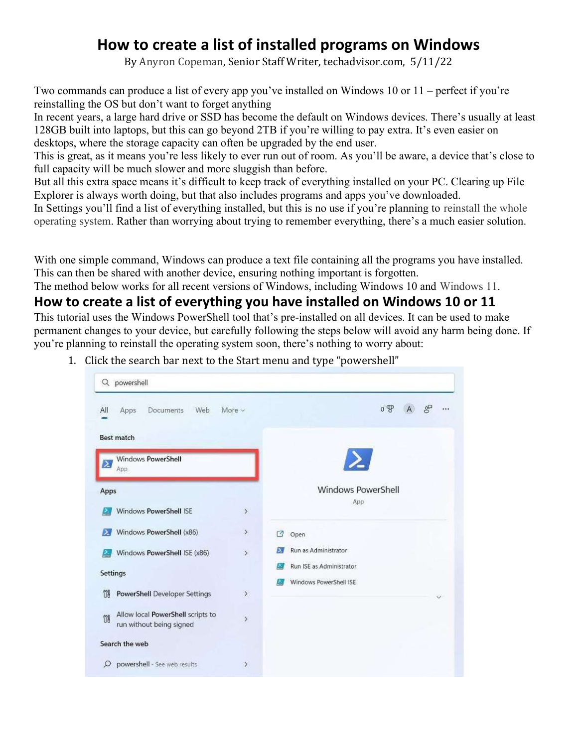## How to create a list of installed programs on Windows

By Anyron Copeman, Senior Staff Writer, techadvisor.com, 5/11/22

Two commands can produce a list of every app you've installed on Windows 10 or 11 – perfect if you're reinstalling the OS but don't want to forget anything

In recent years, a large hard drive or SSD has become the default on Windows devices. There's usually at least 128GB built into laptops, but this can go beyond 2TB if you're willing to pay extra. It's even easier on desktops, where the storage capacity can often be upgraded by the end user.

This is great, as it means you're less likely to ever run out of room. As you'll be aware, a device that's close to full capacity will be much slower and more sluggish than before.

But all this extra space means it's difficult to keep track of everything installed on your PC. Clearing up File Explorer is always worth doing, but that also includes programs and apps you've downloaded.

In Settings you'll find a list of everything installed, but this is no use if you're planning to reinstall the whole operating system. Rather than worrying about trying to remember everything, there's a much easier solution.

With one simple command, Windows can produce a text file containing all the programs you have installed. This can then be shared with another device, ensuring nothing important is forgotten.

The method below works for all recent versions of Windows, including Windows 10 and Windows 11.

## How to create a list of everything you have installed on Windows 10 or 11

This tutorial uses the Windows PowerShell tool that's pre-installed on all devices. It can be used to make permanent changes to your device, but carefully following the steps below will avoid any harm being done. If you're planning to reinstall the operating system soon, there's nothing to worry about:



1. Click the search bar next to the Start menu and type "powershell"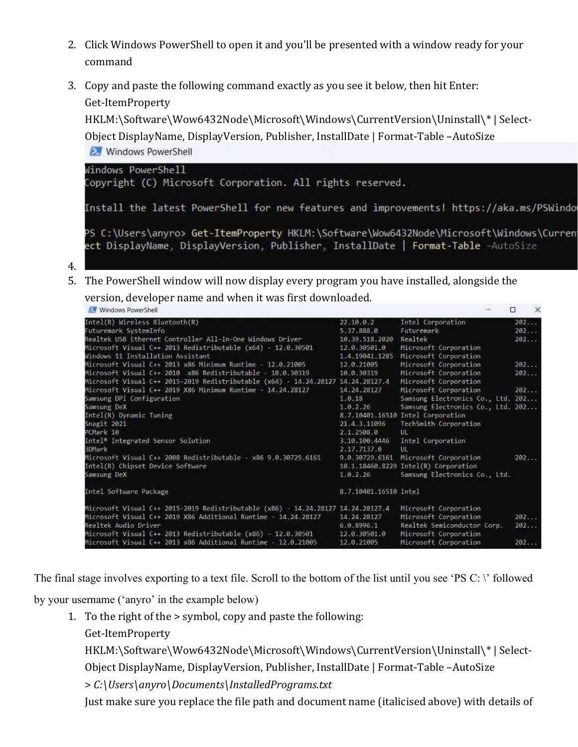- 2. Click Windows PowerShell to open it and you'll be presented with a window ready for your command
- 3. Copy and paste the following command exactly as you see it below, then hit Enter: Get-ItemProperty

HKLM:\Software\Wow6432Node\Microsoft\Windows\CurrentVersion\Uninstall\\* | Select-

Object DisplayName, DisplayVersion, Publisher, InstallDate | Format-Table –AutoSize

Windows PowerShell



5. The PowerShell window will now display every program you have installed, alongside the

version, developer name and when it was first downloaded.

| Intel(R) Wireless Bluetooth(R)<br>22.10.0.2<br>Intel Corporation<br>Futuremark SystemInfo<br>Futuremark<br>5.37.888.0<br>Realtek USB Ethernet Controller All-In-One Windows Driver<br>Realtek<br>10.39.518.2020<br>Microsoft Visual C++ 2013 Redistributable (x64) - 12.0.30501<br>Microsoft Corporation<br>12.0.30501.0<br>Windows 11 Installation Assistant<br>Microsoft Corporation<br>1.4.19041.1285<br>Microsoft Visual C++ 2013 x86 Minimum Runtime - 12.0.21005<br>Microsoft Corporation<br>12.0.21005<br>Microsoft Visual C++ 2010 x86 Redistributable - 10.0.30319<br>Microsoft Corporation<br>10.0.30319 | 202<br>202<br>202 |
|--------------------------------------------------------------------------------------------------------------------------------------------------------------------------------------------------------------------------------------------------------------------------------------------------------------------------------------------------------------------------------------------------------------------------------------------------------------------------------------------------------------------------------------------------------------------------------------------------------------------|-------------------|
|                                                                                                                                                                                                                                                                                                                                                                                                                                                                                                                                                                                                                    |                   |
|                                                                                                                                                                                                                                                                                                                                                                                                                                                                                                                                                                                                                    |                   |
|                                                                                                                                                                                                                                                                                                                                                                                                                                                                                                                                                                                                                    |                   |
|                                                                                                                                                                                                                                                                                                                                                                                                                                                                                                                                                                                                                    |                   |
|                                                                                                                                                                                                                                                                                                                                                                                                                                                                                                                                                                                                                    |                   |
|                                                                                                                                                                                                                                                                                                                                                                                                                                                                                                                                                                                                                    | 202               |
|                                                                                                                                                                                                                                                                                                                                                                                                                                                                                                                                                                                                                    | 202               |
| Microsoft Visual C++ 2015-2019 Redistributable (x64) - 14.24.28127 14.24.28127.4<br>Microsoft Corporation                                                                                                                                                                                                                                                                                                                                                                                                                                                                                                          |                   |
| Microsoft Visual C++ 2019 X86 Minimum Runtime - 14.24.28127<br>Microsoft Corporation<br>14.24.28127                                                                                                                                                                                                                                                                                                                                                                                                                                                                                                                | 202               |
| Samsung DPI Configuration<br>Samsung Electronics Co., Ltd. 202<br>1.0.18                                                                                                                                                                                                                                                                                                                                                                                                                                                                                                                                           |                   |
| Samsung DeX<br>Samsung Electronics Co., Ltd. 202<br>1.0.2.26                                                                                                                                                                                                                                                                                                                                                                                                                                                                                                                                                       |                   |
| 8.7.10401.16510 Intel Corporation<br>Intel(R) Dynamic Tuning                                                                                                                                                                                                                                                                                                                                                                                                                                                                                                                                                       |                   |
| Snagit 2021<br>TechSmith Corporation<br>21.4.3.11096                                                                                                                                                                                                                                                                                                                                                                                                                                                                                                                                                               |                   |
| PCMark 10<br>2.1.2508.0<br>UL                                                                                                                                                                                                                                                                                                                                                                                                                                                                                                                                                                                      |                   |
| Intel® Integrated Sensor Solution<br>3.10.100.4446<br>Intel Corporation                                                                                                                                                                                                                                                                                                                                                                                                                                                                                                                                            |                   |
| 3DMark<br>2.17.7137.0<br><b>UL</b>                                                                                                                                                                                                                                                                                                                                                                                                                                                                                                                                                                                 |                   |
| Microsoft Visual C++ 2008 Redistributable - x86 9.0.30729.6161<br>9.0.30729.6161<br>Microsoft Corporation                                                                                                                                                                                                                                                                                                                                                                                                                                                                                                          | 202               |
| 10.1.18460.8229 Intel(R) Corporation<br>Intel(R) Chipset Device Software                                                                                                                                                                                                                                                                                                                                                                                                                                                                                                                                           |                   |
| Samsung DeX<br>Samsung Electronics Co., Ltd.<br>1.0.2.26                                                                                                                                                                                                                                                                                                                                                                                                                                                                                                                                                           |                   |
| Intel Software Package<br>8.7.10401.16510 Intel                                                                                                                                                                                                                                                                                                                                                                                                                                                                                                                                                                    |                   |
| Microsoft Visual C++ 2015-2019 Redistributable (x86) - 14.24.28127 14.24.28127.4<br>Microsoft Corporation                                                                                                                                                                                                                                                                                                                                                                                                                                                                                                          |                   |
| Microsoft Visual C++ 2019 X86 Additional Runtime - 14.24.28127<br>Microsoft Corporation<br>14.24.28127                                                                                                                                                                                                                                                                                                                                                                                                                                                                                                             | 202               |
| Realtek Audio Driver<br>Realtek Semiconductor Corp.<br>6.0.8996.1                                                                                                                                                                                                                                                                                                                                                                                                                                                                                                                                                  | 202               |
| Microsoft Visual C++ 2013 Redistributable (x86) - 12.0.30501<br>Microsoft Corporation<br>12.0.30501.0                                                                                                                                                                                                                                                                                                                                                                                                                                                                                                              |                   |
| Microsoft Visual C++ 2013 x86 Additional Runtime - 12.0.21005<br>12.0.21005<br>Microsoft Corporation                                                                                                                                                                                                                                                                                                                                                                                                                                                                                                               | 202               |

The final stage involves exporting to a text file. Scroll to the bottom of the list until you see 'PS C:  $\vee$  followed

by your username ('anyro' in the example below)

1. To the right of the > symbol, copy and paste the following:

Get-ItemProperty

HKLM:\Software\Wow6432Node\Microsoft\Windows\CurrentVersion\Uninstall\\* | Select-Object DisplayName, DisplayVersion, Publisher, InstallDate | Format-Table –AutoSize

> C:\Users\anyro\Documents\InstalledPrograms.txt

Just make sure you replace the file path and document name (italicised above) with details of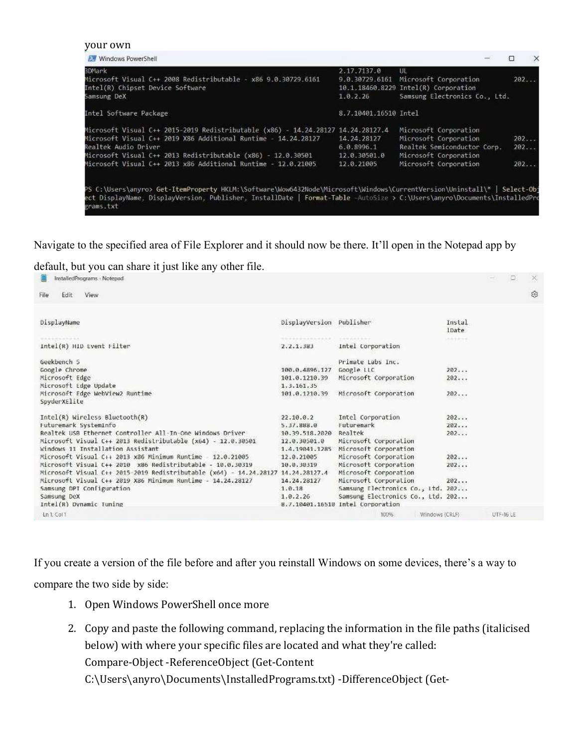## your own

| <b>EXT</b> Windows PowerShell                                                                                                                                                                                                                                                                               |                                                         |                                                                                                                                 |                   | × |
|-------------------------------------------------------------------------------------------------------------------------------------------------------------------------------------------------------------------------------------------------------------------------------------------------------------|---------------------------------------------------------|---------------------------------------------------------------------------------------------------------------------------------|-------------------|---|
| 3DMark<br>Microsoft Visual C++ 2008 Redistributable - x86 9.0.30729.6161<br>Intel(R) Chipset Device Software<br>Samsung DeX                                                                                                                                                                                 | 2.17.7137.0<br>1.0.2.26                                 | H<br>9.0.30729.6161 Microsoft Corporation<br>10.1.18460.8229 Intel(R) Corporation<br>Samsung Electronics Co., Ltd.              | 202               |   |
| Intel Software Package                                                                                                                                                                                                                                                                                      | 8.7.10401.16510 Intel                                   |                                                                                                                                 |                   |   |
| Microsoft Visual C++ 2015-2019 Redistributable (x86) - 14.24.28127 14.24.28127.4<br>Microsoft Visual C++ 2019 X86 Additional Runtime - 14.24.28127<br>Realtek Audio Driver<br>Microsoft Visual C++ 2013 Redistributable (x86) - 12.0.30501<br>Microsoft Visual C++ 2013 x86 Additional Runtime - 12.0.21005 | 14.24.28127<br>6.0.8996.1<br>12.0.30501.0<br>12.0.21005 | Microsoft Corporation<br>Microsoft Corporation<br>Realtek Semiconductor Corp.<br>Microsoft Corporation<br>Microsoft Corporation | 202<br>202<br>202 |   |
| PS C:\Users\anyro> Get-ItemProperty HKLM:\Software\Wow6432Node\Microsoft\Windows\CurrentVersion\Uninstall\*   Select-Obj<br>ect DisplavName, DisplavVersion, Publisher, InstallDate   Format-Table -AutoSize > C:\Users\anyro\Documents\InstalledPro<br>grams.txt                                           |                                                         |                                                                                                                                 |                   |   |

Navigate to the specified area of File Explorer and it should now be there. It'll open in the Notepad app by

default, but you can share it just like any other file.

| InstalledPrograms - Notepad                                        |                          |                                   |                 |          | o | × |
|--------------------------------------------------------------------|--------------------------|-----------------------------------|-----------------|----------|---|---|
| View<br>File<br>Edit                                               |                          |                                   |                 |          |   | భ |
| DisplayName                                                        | DisplayVersion Publisher |                                   | Instal<br>lDate |          |   |   |
| <b>A &amp; &amp; WA &amp; WA &amp; &amp;</b>                       | --------------           | the state of a state to the state | AA99.94         |          |   |   |
| Intel(R) HID Event Filter                                          | 2.2.1.383                | Intel Corporation                 |                 |          |   |   |
| Geekbench 5                                                        |                          | Primate Labs Inc.                 |                 |          |   |   |
| Google Chrome                                                      | 100.0.4896.127           | Google LLC                        | 202             |          |   |   |
| Microsoft Edge                                                     | 101.0.1210.39            | Microsoft Corporation             | 202             |          |   |   |
| Microsoft Edge Update                                              | 1.3.161.35               |                                   |                 |          |   |   |
| Microsoft Edge WebView2 Runtime                                    | 101.0.1210.39            | Microsoft Corporation             | 202             |          |   |   |
| SpyderXElite                                                       |                          |                                   |                 |          |   |   |
| Intel(R) Wireless Bluetooth(R)                                     | 22.10.0.2                | Intel Corporation                 | 202             |          |   |   |
| Futuremark SystemInfo                                              | 5.37.888.0               | Futuremark                        | 202             |          |   |   |
| Realtek USB Ethernet Controller All-In-One Windows Driver          | 10.39.518.2020           | Realtek                           | 202             |          |   |   |
| Microsoft Visual C++ 2013 Redistributable (x64) - 12.0.30501       | 12.0.30501.0             | Microsoft Corporation             |                 |          |   |   |
| Windows 11 Installation Assistant                                  | 1.4.19041.1285           | Microsoft Corporation             |                 |          |   |   |
| Microsoft Visual C++ 2013 x86 Minimum Runtime<br>12.0.21005        | 12.0.21005               | Microsoft Corporation             | 202             |          |   |   |
| Microsoft Visual C++ 2010 x86 Redistributable - 10.0.30319         | 10.0.30319               | Microsoft Corporation             | 202             |          |   |   |
| Microsoft Visual C++ 2015-2019 Redistributable (x64) - 14.24.28127 | 14.24.28127.4            | Microsoft Corporation             |                 |          |   |   |
| Microsoft Visual C++ 2019 X86 Minimum Runtime - 14.24.28127        | 14, 24, 28127            | Microsoft Corporation             | 202             |          |   |   |
| Samsung DPI Configuration                                          | 1.0.18                   | Samsung Electronics Co., 1td. 202 |                 |          |   |   |
| Samsung DeX                                                        | 1.0.2.26                 | Samsung Electronics Co., Ltd. 202 |                 |          |   |   |
| Intel(R) Dynamic Tuning                                            |                          | 8.7.10401.16510 Intel Corporation |                 |          |   |   |
| Ln 1. Col 1                                                        |                          | 100%<br>Windows (CRLF)            |                 | UTF-16LE |   |   |

If you create a version of the file before and after you reinstall Windows on some devices, there's a way to

compare the two side by side:

- 1. Open Windows PowerShell once more
- 2. Copy and paste the following command, replacing the information in the file paths (italicised below) with where your specific files are located and what they're called: Compare-Object -ReferenceObject (Get-Content

C:\Users\anyro\Documents\InstalledPrograms.txt) -DifferenceObject (Get-